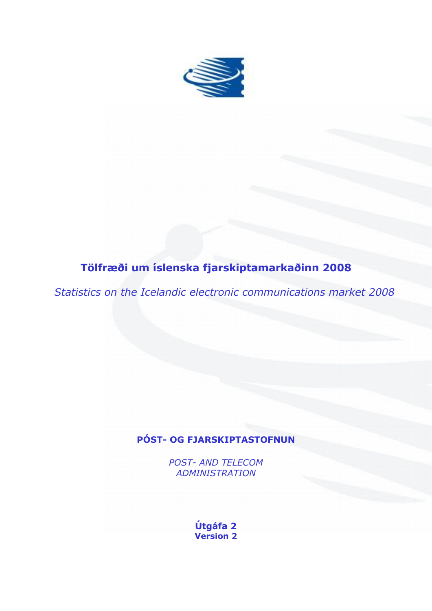

# **Tölfræði um íslenska fjarskiptamarkaðinn 2008**

*Statistics on the Icelandic electronic communications market 2008*

## **PÓST- OG FJARSKIPTASTOFNUN**

*POST- AND TELECOM ADMINISTRATION*

> **Útgáfa 2 Version 2**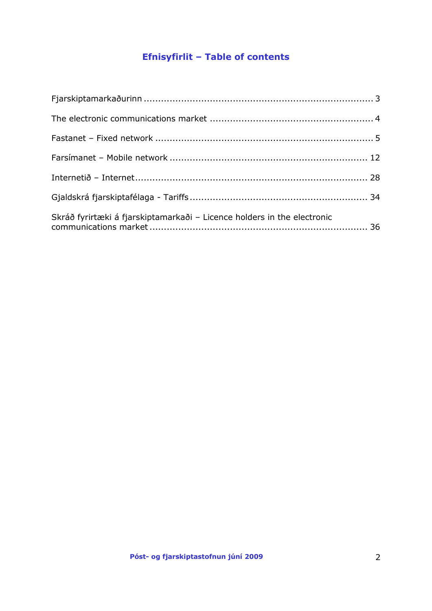# **Efnisyfirlit – Table of contents**

| Skráð fyrirtæki á fjarskiptamarkaði - Licence holders in the electronic |  |
|-------------------------------------------------------------------------|--|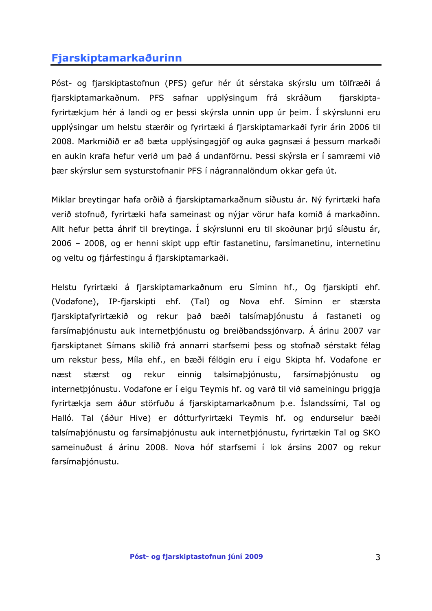## <span id="page-2-0"></span>**Fjarskiptamarkaðurinn**

Póst- og fjarskiptastofnun (PFS) gefur hér út sérstaka skýrslu um tölfræði á fjarskiptamarkaðnum. PFS safnar upplýsingum frá skráðum fjarskiptafyrirtækjum hér á landi og er þessi skýrsla unnin upp úr þeim. Í skýrslunni eru upplýsingar um helstu stærðir og fyrirtæki á fjarskiptamarkaði fyrir árin 2006 til 2008. Markmiðið er að bæta upplýsingagjöf og auka gagnsæi á þessum markaði en aukin krafa hefur verið um það á undanförnu. Þessi skýrsla er í samræmi við þær skýrslur sem systurstofnanir PFS í nágrannalöndum okkar gefa út.

Miklar breytingar hafa orðið á fjarskiptamarkaðnum síðustu ár. Ný fyrirtæki hafa verið stofnuð, fyrirtæki hafa sameinast og nýjar vörur hafa komið á markaðinn. Allt hefur þetta áhrif til breytinga. Í skýrslunni eru til skoðunar þrjú síðustu ár, 2006 – 2008, og er henni skipt upp eftir fastanetinu, farsímanetinu, internetinu og veltu og fjárfestingu á fjarskiptamarkaði.

Helstu fyrirtæki á fjarskiptamarkaðnum eru Síminn hf., Og fjarskipti ehf. (Vodafone), IP-fjarskipti ehf. (Tal) og Nova ehf. Síminn er stærsta fjarskiptafyrirtækið og rekur það bæði talsímaþjónustu á fastaneti og farsímaþjónustu auk internetþjónustu og breiðbandssjónvarp. Á árinu 2007 var fjarskiptanet Símans skilið frá annarri starfsemi þess og stofnað sérstakt félag um rekstur þess, Míla ehf., en bæði félögin eru í eigu Skipta hf. Vodafone er næst stærst og rekur einnig talsímaþjónustu, farsímaþjónustu og internetþjónustu. Vodafone er í eigu Teymis hf. og varð til við sameiningu þriggja fyrirtækja sem áður störfuðu á fjarskiptamarkaðnum þ.e. Íslandssími, Tal og Halló. Tal (áður Hive) er dótturfyrirtæki Teymis hf. og endurselur bæði talsímaþjónustu og farsímaþjónustu auk internetþjónustu, fyrirtækin Tal og SKO sameinuðust á árinu 2008. Nova hóf starfsemi í lok ársins 2007 og rekur farsímaþjónustu.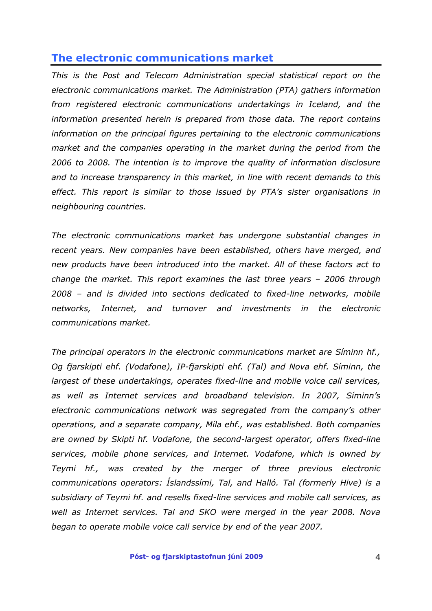## <span id="page-3-0"></span>**The electronic communications market**

*This is the Post and Telecom Administration special statistical report on the electronic communications market. The Administration (PTA) gathers information from registered electronic communications undertakings in Iceland, and the information presented herein is prepared from those data. The report contains information on the principal figures pertaining to the electronic communications market and the companies operating in the market during the period from the 2006 to 2008. The intention is to improve the quality of information disclosure and to increase transparency in this market, in line with recent demands to this effect. This report is similar to those issued by PTA's sister organisations in neighbouring countries.* 

*The electronic communications market has undergone substantial changes in recent years. New companies have been established, others have merged, and new products have been introduced into the market. All of these factors act to change the market. This report examines the last three years – 2006 through 2008 – and is divided into sections dedicated to fixed-line networks, mobile networks, Internet, and turnover and investments in the electronic communications market.* 

*The principal operators in the electronic communications market are Síminn hf., Og fjarskipti ehf. (Vodafone), IP-fjarskipti ehf. (Tal) and Nova ehf. Síminn, the largest of these undertakings, operates fixed-line and mobile voice call services, as well as Internet services and broadband television. In 2007, Síminn's electronic communications network was segregated from the company's other operations, and a separate company, Míla ehf., was established. Both companies are owned by Skipti hf. Vodafone, the second-largest operator, offers fixed-line services, mobile phone services, and Internet. Vodafone, which is owned by Teymi hf., was created by the merger of three previous electronic communications operators: Íslandssími, Tal, and Halló. Tal (formerly Hive) is a subsidiary of Teymi hf. and resells fixed-line services and mobile call services, as well as Internet services. Tal and SKO were merged in the year 2008. Nova began to operate mobile voice call service by end of the year 2007.*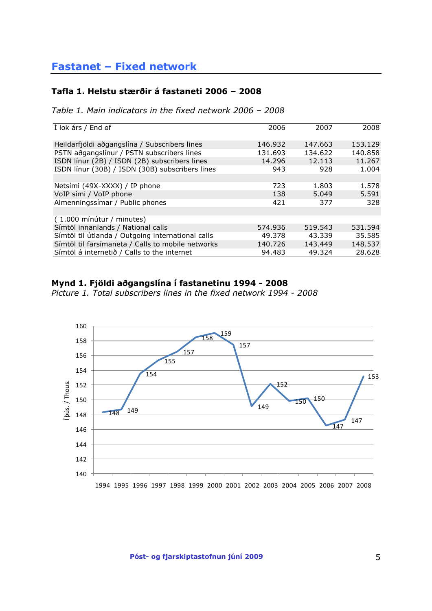#### <span id="page-4-0"></span>**Tafla 1. Helstu stærðir á fastaneti 2006 – 2008**

*Table 1. Main indicators in the fixed network 2006 – 2008*

| I lok árs / End of                                | 2006    | 2007    | 2008    |
|---------------------------------------------------|---------|---------|---------|
| Heildarfjöldi aðgangslína / Subscribers lines     | 146.932 | 147.663 | 153.129 |
| PSTN aðgangslínur / PSTN subscribers lines        | 131.693 | 134.622 | 140.858 |
| ISDN línur (2B) / ISDN (2B) subscribers lines     | 14.296  | 12.113  | 11.267  |
| ISDN línur (30B) / ISDN (30B) subscribers lines   | 943     | 928     | 1.004   |
|                                                   |         |         |         |
| Netsími (49X-XXXX) / IP phone                     | 723     | 1.803   | 1.578   |
| VoIP sími / VoIP phone                            | 138     | 5.049   | 5.591   |
| Almenningssimar / Public phones                   | 421     | 377     | 328     |
|                                                   |         |         |         |
| (1.000 mínútur / minutes)                         |         |         |         |
| Símtöl innanlands / National calls                | 574.936 | 519.543 | 531.594 |
| Símtöl til útlanda / Outgoing international calls | 49.378  | 43.339  | 35.585  |
| Símtöl til farsímaneta / Calls to mobile networks | 140.726 | 143.449 | 148.537 |
| Símtöl á internetið / Calls to the internet       | 94.483  | 49.324  | 28.628  |

#### **Mynd 1. Fjöldi aðgangslína í fastanetinu 1994 - 2008**

*Picture 1. Total subscribers lines in the fixed network 1994 - 2008*

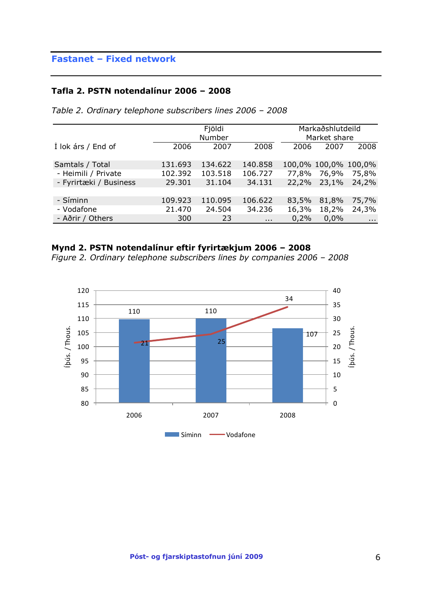#### **Tafla 2. PSTN notendalínur 2006 – 2008**

|                        |         | Fjöldi<br>Number |                      | Markaðshlutdeild<br>Market share |                      |               |
|------------------------|---------|------------------|----------------------|----------------------------------|----------------------|---------------|
| I lok árs / End of     | 2006    | 2007             | 2008                 | 2006                             | 2007                 | 2008          |
| Samtals / Total        | 131.693 | 134.622          | 140.858              |                                  | 100,0% 100,0% 100,0% |               |
| - Heimili / Private    | 102.392 | 103.518          | 106.727              | 77,8%                            | 76,9%                | 75,8%         |
| - Fyrirtæki / Business | 29.301  | 31.104           | 34.131               | 22,2%                            | 23,1%                | 24,2%         |
|                        |         |                  |                      |                                  |                      |               |
| - Síminn               | 109.923 | 110.095          | 106.622              | 83,5%                            | 81,8%                | 75,7%         |
| - Vodafone             | 21.470  | 24.504           | 34.236               | 16,3%                            | 18,2%                | 24,3%         |
| - Aðrir / Others       | 300     | 23               | $\sim$ $\sim$ $\sim$ | 0,2%                             | $0.0\%$              | $\sim$ $\sim$ |

*Table 2. Ordinary telephone subscribers lines 2006 – 2008*

### **Mynd 2. PSTN notendalínur eftir fyrirtækjum 2006 – 2008**

*Figure 2. Ordinary telephone subscribers lines by companies 2006 – 2008*

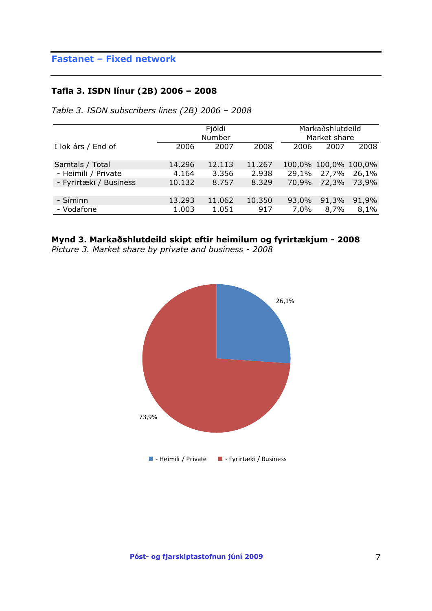#### **Tafla 3. ISDN línur (2B) 2006 – 2008**

|                        |        | Fjöldi<br>Number | Markaðshlutdeild<br>Market share |       |                      |       |
|------------------------|--------|------------------|----------------------------------|-------|----------------------|-------|
| Í lok árs / End of     | 2006   | 2007             | 2008                             | 2006  | 2007                 | 2008  |
| Samtals / Total        | 14.296 | 12.113           | 11.267                           |       | 100,0% 100,0% 100,0% |       |
| - Heimili / Private    | 4.164  | 3.356            | 2.938                            | 29,1% | 27,7%                | 26,1% |
| - Fyrirtæki / Business | 10.132 | 8.757            | 8.329                            | 70,9% | 72,3%                | 73,9% |
| - Síminn               | 13.293 | 11.062           | 10.350                           | 93,0% | 91,3%                | 91,9% |
| - Vodafone             | 1.003  | 1.051            | 917                              | 7,0%  | 8,7%                 | 8,1%  |

*Table 3. ISDN subscribers lines (2B) 2006 – 2008*

## **Mynd 3. Markaðshlutdeild skipt eftir heimilum og fyrirtækjum - 2008**

*Picture 3. Market share by private and business - 2008*

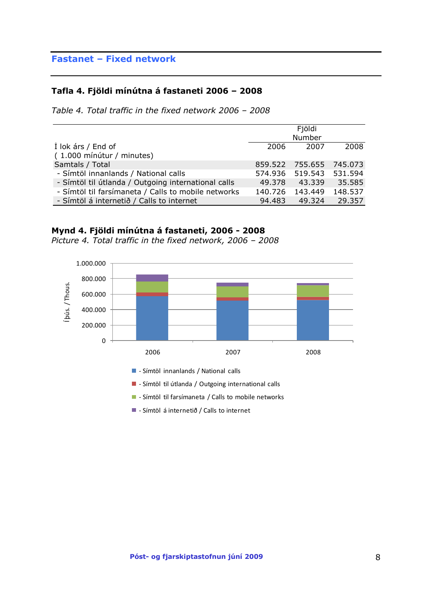#### **Tafla 4. Fjöldi mínútna á fastaneti 2006 – 2008**

*Table 4. Total traffic in the fixed network 2006 – 2008*

|                                                     |         | Fjöldi                  |         |
|-----------------------------------------------------|---------|-------------------------|---------|
|                                                     |         | Number                  |         |
| Í lok árs / End of                                  | 2006    | 2007                    | 2008    |
| (1.000 mínútur / minutes)                           |         |                         |         |
| Samtals / Total                                     |         | 859.522 755.655 745.073 |         |
| - Símtöl innanlands / National calls                |         | 574.936 519.543         | 531.594 |
| - Símtöl til útlanda / Outgoing international calls | 49.378  | 43.339                  | 35.585  |
| - Símtöl til farsímaneta / Calls to mobile networks | 140.726 | 143.449                 | 148.537 |
| - Símtöl á internetið / Calls to internet           | 94.483  | 49.324                  | 29.357  |

#### **Mynd 4. Fjöldi mínútna á fastaneti, 2006 - 2008**

*Picture 4. Total traffic in the fixed network, 2006 – 2008*

600.000 800.000 1.000.000



Símtöl innanlands / National calls

- Símtöl til útlanda / Outgoing international calls

**-** Símtöl til farsímaneta / Calls to mobile networks

- Símtöl á internetið / Calls to internet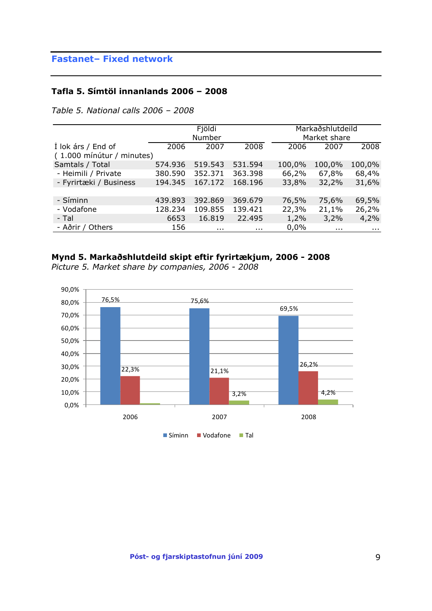#### **Tafla 5. Símtöl innanlands 2006 – 2008**

*Table 5. National calls 2006 – 2008*

|                           |         | Fjöldi   |          |        | Markaðshlutdeild |            |
|---------------------------|---------|----------|----------|--------|------------------|------------|
|                           |         | Number   |          |        | Market share     |            |
| Í lok árs / End of        | 2006    | 2007     | 2008     | 2006   | 2007             | 2008       |
| (1.000 mínútur / minutes) |         |          |          |        |                  |            |
| Samtals / Total           | 574.936 | 519.543  | 531.594  | 100,0% | 100,0%           | 100,0%     |
| - Heimili / Private       | 380.590 | 352.371  | 363.398  | 66,2%  | 67,8%            | 68,4%      |
| - Fyrirtæki / Business    | 194.345 | 167.172  | 168.196  | 33,8%  | 32,2%            | 31,6%      |
|                           |         |          |          |        |                  |            |
| - Síminn                  | 439.893 | 392.869  | 369.679  | 76,5%  | 75,6%            | 69,5%      |
| - Vodafone                | 128.234 | 109.855  | 139.421  | 22,3%  | 21,1%            | 26,2%      |
| - Tal                     | 6653    | 16.819   | 22.495   | 1,2%   | 3,2%             | 4,2%       |
| - Aðrir / Others          | 156     | $\cdots$ | $\cdots$ | 0,0%   | $\sim$ $\sim$    | $\sim 100$ |

#### **Mynd 5. Markaðshlutdeild skipt eftir fyrirtækjum, 2006 - 2008**



*Picture 5. Market share by companies, 2006 - 2008*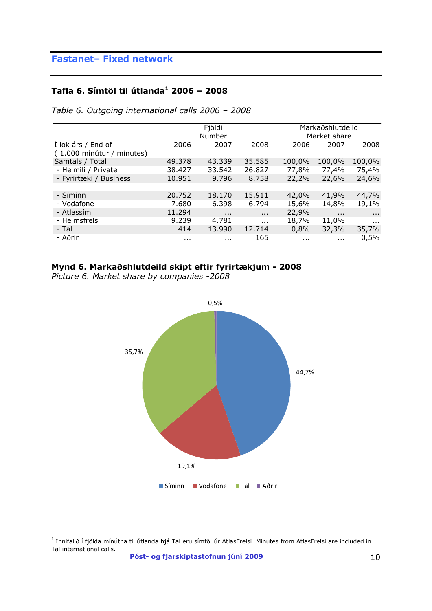### **Tafla 6. Símtöl til útlanda<sup>1</sup> 2006 – 2008**

|                           |          | Fjöldi<br>Number |          |          | Markaðshlutdeild<br>Market share |                      |
|---------------------------|----------|------------------|----------|----------|----------------------------------|----------------------|
|                           |          |                  |          |          |                                  |                      |
| Í lok árs / End of        | 2006     | 2007             | 2008     | 2006     | 2007                             | 2008                 |
| (1.000 mínútur / minutes) |          |                  |          |          |                                  |                      |
| Samtals / Total           | 49.378   | 43.339           | 35.585   | 100,0%   | 100,0%                           | 100,0%               |
| - Heimili / Private       | 38.427   | 33.542           | 26,827   | 77,8%    | 77,4%                            | 75,4%                |
| - Fyrirtæki / Business    | 10.951   | 9.796            | 8.758    | 22,2%    | 22,6%                            | 24,6%                |
|                           |          |                  |          |          |                                  |                      |
| - Síminn                  | 20.752   | 18.170           | 15.911   | 42,0%    | 41,9%                            | 44,7%                |
| - Vodafone                | 7.680    | 6.398            | 6.794    | 15,6%    | 14,8%                            | 19,1%                |
| - Atlassími               | 11.294   | $\cdots$         | $\cdots$ | 22,9%    | $\cdots$                         | $\sim$ $\sim$ $\sim$ |
| - Heimsfrelsi             | 9.239    | 4.781            | $\cdots$ | 18,7%    | 11,0%                            | $\cdots$             |
| - Tal                     | 414      | 13.990           | 12.714   | 0,8%     | 32,3%                            | 35,7%                |
| - Aðrir                   | $\cdots$ | $\cdots$         | 165      | $\cdots$ | $\cdots$                         | 0,5%                 |

*Table 6. Outgoing international calls 2006 – 2008*

### **Mynd 6. Markaðshlutdeild skipt eftir fyrirtækjum - 2008**

*Picture 6. Market share by companies -2008*



 $^{\rm 1}$  Innifalið í fjölda mínútna til útlanda hjá Tal eru símtöl úr AtlasFrelsi. Minutes from AtlasFrelsi are included in Tal international calls.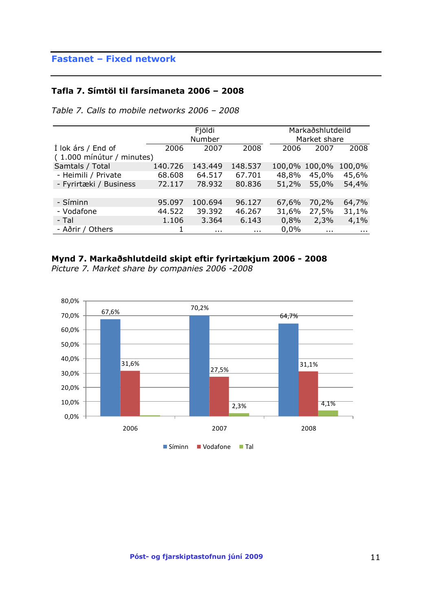#### **Tafla 7. Símtöl til farsímaneta 2006 – 2008**

|  |  |  | Table 7. Calls to mobile networks 2006 - 2008 |  |  |
|--|--|--|-----------------------------------------------|--|--|
|--|--|--|-----------------------------------------------|--|--|

|                           |         | Fjöldi   |          |       | Markaðshlutdeild |              |
|---------------------------|---------|----------|----------|-------|------------------|--------------|
|                           |         | Number   |          |       | Market share     |              |
| Í lok árs / End of        | 2006    | 2007     | 2008     | 2006  | 2007             | 2008         |
| (1.000 mínútur / minutes) |         |          |          |       |                  |              |
| Samtals / Total           | 140.726 | 143.449  | 148.537  |       | 100,0% 100,0%    | 100,0%       |
| - Heimili / Private       | 68.608  | 64.517   | 67.701   | 48,8% | 45,0%            | 45,6%        |
| - Fyrirtæki / Business    | 72.117  | 78.932   | 80.836   | 51,2% | 55,0%            | 54,4%        |
|                           |         |          |          |       |                  |              |
| - Síminn                  | 95.097  | 100.694  | 96.127   | 67,6% | 70,2%            | 64,7%        |
| - Vodafone                | 44.522  | 39.392   | 46.267   | 31,6% | 27,5%            | 31,1%        |
| - Tal                     | 1.106   | 3.364    | 6.143    | 0,8%  | 2,3%             | 4,1%         |
| - Aðrir / Others          |         | $\cdots$ | $\cdots$ | 0,0%  | $\sim 100$       | $\mathbf{r}$ |

### **Mynd 7. Markaðshlutdeild skipt eftir fyrirtækjum 2006 - 2008**

*Picture 7. Market share by companies 2006 -2008*

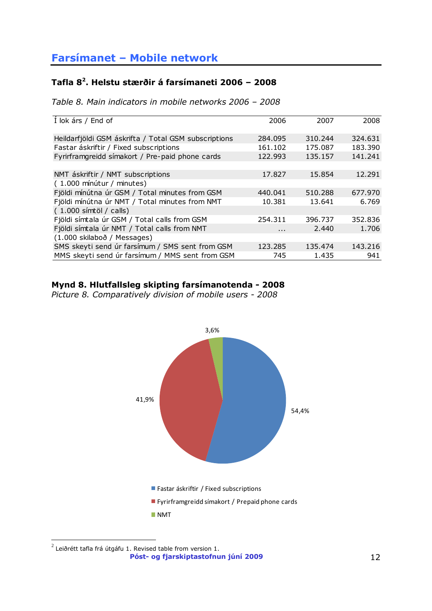### <span id="page-11-0"></span>**Tafla 8<sup>2</sup> . Helstu stærðir á farsímaneti 2006 – 2008**

*Table 8. Main indicators in mobile networks 2006 – 2008*

| 2006    | 2007    | 2008    |
|---------|---------|---------|
| 284.095 | 310.244 | 324.631 |
| 161.102 | 175.087 | 183.390 |
| 122.993 | 135.157 | 141.241 |
|         |         |         |
| 17,827  | 15.854  | 12.291  |
|         |         |         |
| 440.041 | 510,288 | 677.970 |
| 10.381  | 13.641  | 6.769   |
|         |         |         |
| 254.311 | 396.737 | 352.836 |
| .       | 2.440   | 1.706   |
|         |         |         |
| 123.285 | 135.474 | 143.216 |
| 745     | 1.435   | 941     |
|         |         |         |

### **Mynd 8. Hlutfallsleg skipting farsímanotenda - 2008**

*Picture 8. Comparatively division of mobile users - 2008*



 2 Leiðrétt tafla frá útgáfu 1. Revised table from version 1.

**Póst- og fjarskiptastofnun júní 2009** 12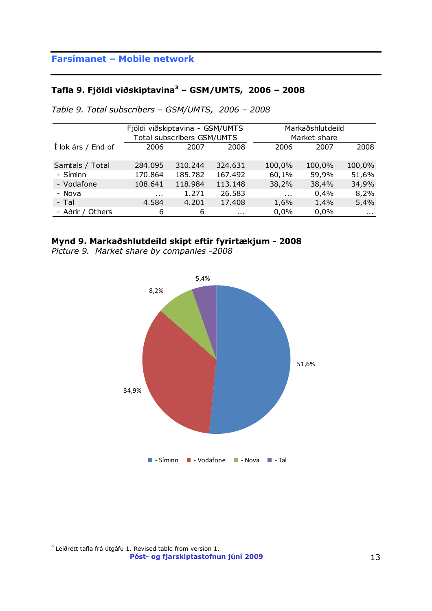## **Tafla 9. Fjöldi viðskiptavina<sup>3</sup> – GSM/UMTS, 2006 – 2008**

|                    |          | Fjöldi viðskiptavina - GSM/UMTS |          |          | Markaðshlutdeild |            |
|--------------------|----------|---------------------------------|----------|----------|------------------|------------|
|                    |          | Total subscribers GSM/UMTS      |          |          | Market share     |            |
| Í lok árs / End of | 2006     | 2007                            | 2008     | 2006     | 2007             | 2008       |
| Samtals / Total    | 284.095  | 310.244                         | 324.631  | 100,0%   | 100,0%           | 100,0%     |
| - Síminn           | 170.864  | 185,782                         | 167.492  | 60,1%    | 59,9%            | 51,6%      |
| - Vodafone         | 108.641  | 118.984                         | 113.148  | 38,2%    | 38,4%            | 34,9%      |
| - Nova             | $\cdots$ | 1.271                           | 26.583   | $\cdots$ | 0,4%             | 8,2%       |
| - Tal              | 4.584    | 4.201                           | 17.408   | 1,6%     | 1,4%             | 5,4%       |
| - Aðrir / Others   | 6        | 6                               | $\cdots$ | 0,0%     | 0,0%             | $\sim 100$ |

*Table 9. Total subscribers – GSM/UMTS, 2006 – 2008*

### **Mynd 9. Markaðshlutdeild skipt eftir fyrirtækjum - 2008**

*Picture 9. Market share by companies -2008*



**Póst- og fjarskiptastofnun júní 2009** 13  $^3$  Leiðrétt tafla frá útgáfu 1. Revised table from version 1.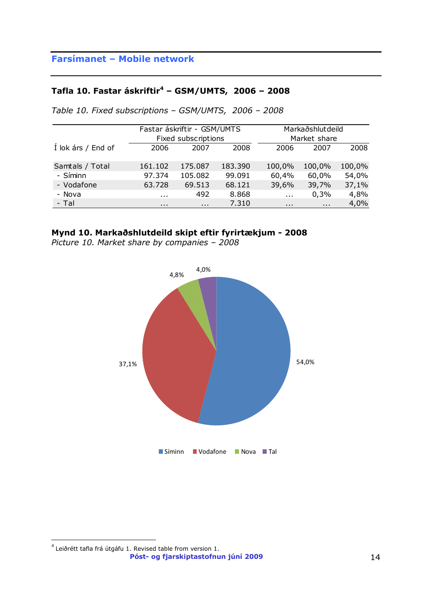### **Tafla 10. Fastar áskriftir<sup>4</sup> – GSM/UMTS, 2006 – 2008**

|                    |          | Fastar áskriftir - GSM/UMTS |         |          | Markaðshlutdeild |        |
|--------------------|----------|-----------------------------|---------|----------|------------------|--------|
|                    |          | Fixed subscriptions         |         |          | Market share     |        |
| Í lok árs / End of | 2006     | 2007                        | 2008    | 2006     | 2007             | 2008   |
|                    |          |                             |         |          |                  |        |
| Samtals / Total    | 161.102  | 175.087                     | 183.390 | 100,0%   | 100,0%           | 100,0% |
| - Síminn           | 97.374   | 105.082                     | 99.091  | 60,4%    | 60,0%            | 54,0%  |
| - Vodafone         | 63.728   | 69.513                      | 68.121  | 39,6%    | 39,7%            | 37,1%  |
| - Nova             | $\cdots$ | 492                         | 8.868   | $\cdots$ | 0,3%             | 4,8%   |
| - Tal              | $\cdots$ | $\sim$ $\sim$               | 7.310   | $\cdots$ | $\cdots$         | 4,0%   |

*Table 10. Fixed subscriptions – GSM/UMTS, 2006 – 2008*

#### **Mynd 10. Markaðshlutdeild skipt eftir fyrirtækjum - 2008**

*Picture 10. Market share by companies – 2008*



**Póst- og fjarskiptastofnun júní 2009** 14  $^4$  Leiðrétt tafla frá útgáfu 1. Revised table from version 1.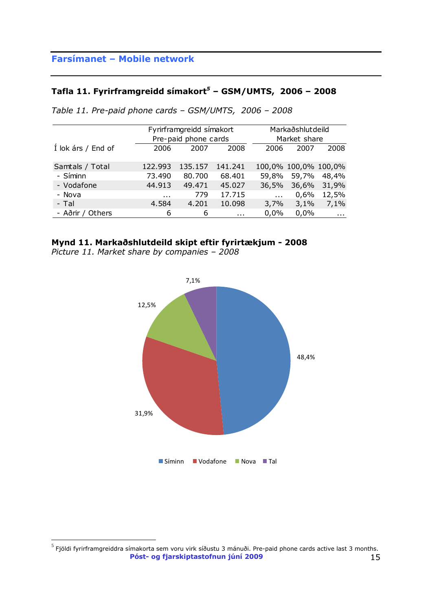### **Tafla 11. Fyrirframgreidd símakort***<sup>5</sup>* **– GSM/UMTS, 2006 – 2008**

|                    | Fyrirframgreidd símakort |                      |          |              | Markaðshlutdeild     |            |  |
|--------------------|--------------------------|----------------------|----------|--------------|----------------------|------------|--|
|                    |                          | Pre-paid phone cards |          |              | Market share         |            |  |
| Í lok árs / End of | 2006                     | 2007                 | 2008     | 2006         | 2007                 | 2008       |  |
|                    |                          |                      |          |              |                      |            |  |
| Samtals / Total    | 122.993                  | 135.157              | 141.241  |              | 100,0% 100,0% 100,0% |            |  |
| - Síminn           | 73.490                   | 80.700               | 68.401   | 59,8%        | 59,7%                | 48,4%      |  |
| - Vodafone         | 44.913                   | 49.471               | 45.027   | 36,5%        | 36,6%                | 31,9%      |  |
| - Nova             | $\cdots$                 | 779                  | 17.715   | $\mathbf{r}$ | 0,6%                 | 12,5%      |  |
| - Tal              | 4.201<br>10.098<br>4.584 |                      |          | 3,7%         | 3,1%                 | 7,1%       |  |
| - Aðrir / Others   | 6                        | 6                    | $\cdots$ | 0,0%         | 0,0%                 | $\sim 100$ |  |

*Table 11. Pre-paid phone cards – GSM/UMTS, 2006 – 2008*

#### **Mynd 11. Markaðshlutdeild skipt eftir fyrirtækjum - 2008**

*Picture 11. Market share by companies – 2008* 



**Póst- og fjarskiptastofnun júní 2009** 15  $^5$  Fjöldi fyrirframgreiddra símakorta sem voru virk síðustu 3 mánuði. Pre-paid phone cards active last 3 months.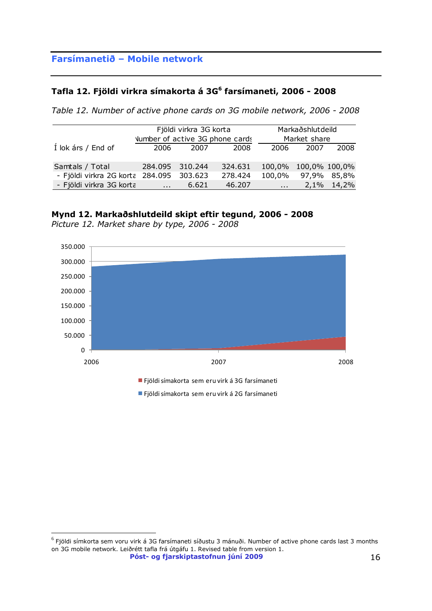#### **Tafla 12. Fjöldi virkra símakorta á 3G<sup>6</sup> farsímaneti, 2006 - 2008**

*Table 12. Number of active phone cards on 3G mobile network, 2006 - 2008*

|                                          | Fjöldi virkra 3G korta<br>Number of active 3G phone cards |       |         |                      | Markaðshlutdeild<br>Market share |            |  |
|------------------------------------------|-----------------------------------------------------------|-------|---------|----------------------|----------------------------------|------------|--|
| Í lok árs / End of                       | 2006                                                      | 2007  | 2008    | 2006                 | 2007                             | 2008       |  |
| Samtals / Total                          | 284.095 310.244                                           |       | 324.631 | 100,0% 100,0% 100,0% |                                  |            |  |
| - Fjöldi virkra 2G korta 284.095 303.623 |                                                           |       | 278.424 | 100,0% 97,9%         |                                  | 85,8%      |  |
| - Fjöldi virkra 3G korta                 |                                                           | 6.621 | 46.207  | $\mathbf{r}$         |                                  | 2,1% 14,2% |  |

#### **Mynd 12. Markaðshlutdeild skipt eftir tegund, 2006 - 2008**



*Picture 12. Market share by type, 2006 - 2008* 

**Póst- og fjarskiptastofnun júní 2009** 16  $^6$  Fjöldi símkorta sem voru virk á 3G farsímaneti síðustu 3 mánuði. Number of active phone cards last 3 months on 3G mobile network. Leiðrétt tafla frá útgáfu 1. Revised table from version 1.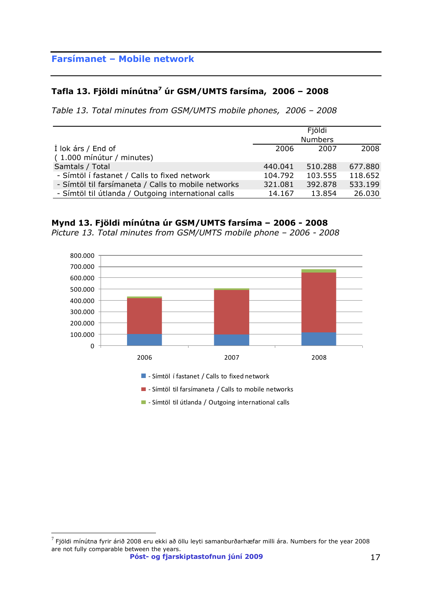### **Tafla 13. Fjöldi mínútna<sup>7</sup> úr GSM/UMTS farsíma, 2006 – 2008**

*Table 13. Total minutes from GSM/UMTS mobile phones, 2006 – 2008*

|                                                     |         | Fjöldi         |         |
|-----------------------------------------------------|---------|----------------|---------|
|                                                     |         | <b>Numbers</b> |         |
| Í lok árs / End of                                  | 2006    | 2007           | 2008    |
| (1.000 mínútur / minutes)                           |         |                |         |
| Samtals / Total                                     | 440.041 | 510.288        | 677.880 |
| - Símtöl í fastanet / Calls to fixed network        | 104.792 | 103.555        | 118.652 |
| - Símtöl til farsímaneta / Calls to mobile networks | 321.081 | 392.878        | 533.199 |
| - Símtöl til útlanda / Outgoing international calls | 14.167  | 13.854         | 26.030  |

#### **Mynd 13. Fjöldi mínútna úr GSM/UMTS farsíma – 2006 - 2008**

*Picture 13. Total minutes from GSM/UMTS mobile phone – 2006 - 2008* 



- Símtöl til útlanda / Outgoing international calls

 $^7$  Fjöldi mínútna fyrir árið 2008 eru ekki að öllu leyti samanburðarhæfar milli ára. Numbers for the year 2008 are not fully comparable between the years.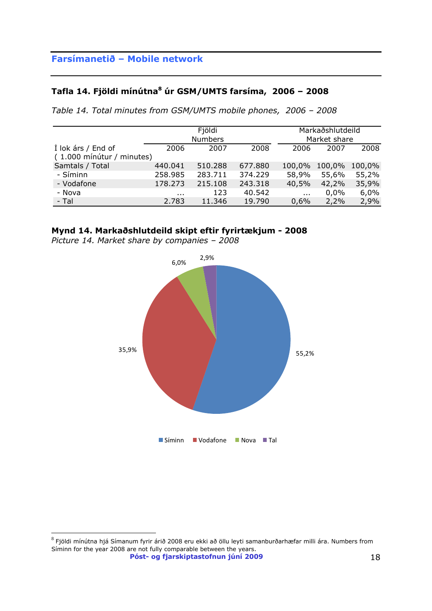## **Tafla 14. Fjöldi mínútna<sup>8</sup> úr GSM/UMTS farsíma, 2006 – 2008**

*Table 14. Total minutes from GSM/UMTS mobile phones, 2006 – 2008*

|                                                 |                      | Fjöldi<br><b>Numbers</b> |         | Markaðshlutdeild<br>Market share |        |        |
|-------------------------------------------------|----------------------|--------------------------|---------|----------------------------------|--------|--------|
| Í lok árs / End of<br>(1.000 mínútur / minutes) | 2006                 | 2007                     | 2008    | 2006                             | 2007   | 2008   |
| Samtals / Total                                 | 440.041              | 510.288                  | 677.880 | 100,0%                           | 100,0% | 100,0% |
| - Síminn                                        | 258.985              | 283.711                  | 374.229 | 58,9%                            | 55,6%  | 55,2%  |
| - Vodafone                                      | 178.273              | 215.108                  | 243.318 | 40,5%                            | 42,2%  | 35,9%  |
| - Nova                                          | $\sim$ $\sim$ $\sim$ | 123                      | 40.542  | $\sim 100$                       | 0,0%   | 6,0%   |
| - Tal                                           | 2.783                | 11.346                   | 19.790  | 0,6%                             | 2,2%   | 2,9%   |

#### **Mynd 14. Markaðshlutdeild skipt eftir fyrirtækjum - 2008**

*Picture 14. Market share by companies – 2008* 



**Póst- og fjarskiptastofnun júní 2009** 18  $^8$  Fjöldi mínútna hjá Símanum fyrir árið 2008 eru ekki að öllu leyti samanburðarhæfar milli ára. Numbers from Síminn for the year 2008 are not fully comparable between the years.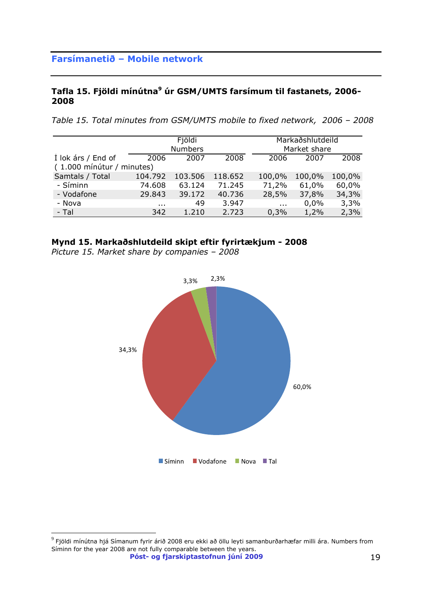### **Tafla 15. Fjöldi mínútna<sup>9</sup> úr GSM/UMTS farsímum til fastanets, 2006- 2008**

*Table 15. Total minutes from GSM/UMTS mobile to fixed network, 2006 – 2008*

|                                                 |          | Fjöldi<br><b>Numbers</b> |         |          | Markaðshlutdeild<br>Market share |        |
|-------------------------------------------------|----------|--------------------------|---------|----------|----------------------------------|--------|
| Í lok árs / End of<br>(1.000 mínútur / minutes) | 2006     | 2007                     | 2008    | 2006     | 2007                             | 2008   |
| Samtals / Total                                 | 104.792  | 103.506                  | 118.652 | 100,0%   | 100,0%                           | 100,0% |
| - Síminn                                        | 74.608   | 63.124                   | 71.245  | 71,2%    | 61,0%                            | 60,0%  |
| - Vodafone                                      | 29.843   | 39.172                   | 40.736  | 28,5%    | 37,8%                            | 34,3%  |
| - Nova                                          | $\cdots$ | 49                       | 3.947   | $\cdots$ | $0.0\%$                          | 3,3%   |
| - Tal                                           | 342      | 1.210                    | 2.723   | 0,3%     | 1,2%                             | 2,3%   |

#### **Mynd 15. Markaðshlutdeild skipt eftir fyrirtækjum - 2008**

*Picture 15. Market share by companies – 2008*



**Póst- og fjarskiptastofnun júní 2009** 19  $^9$  Fjöldi mínútna hjá Símanum fyrir árið 2008 eru ekki að öllu leyti samanburðarhæfar milli ára. Numbers from Síminn for the year 2008 are not fully comparable between the years.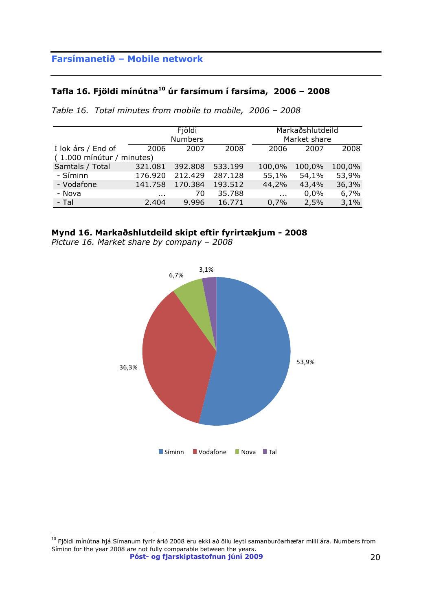## **Tafla 16. Fjöldi mínútna<sup>10</sup> úr farsímum í farsíma, 2006 – 2008**

|                           |          | Fjöldi         |         |          | Markaðshlutdeild |        |  |  |
|---------------------------|----------|----------------|---------|----------|------------------|--------|--|--|
|                           |          | <b>Numbers</b> |         |          | Market share     |        |  |  |
| Í lok árs / End of        | 2006     | 2007           | 2008    | 2006     | 2007             | 2008   |  |  |
| (1.000 mínútur / minutes) |          |                |         |          |                  |        |  |  |
| Samtals / Total           | 321.081  | 392.808        | 533.199 | 100,0%   | 100,0%           | 100,0% |  |  |
| - Síminn                  | 176.920  | 212,429        | 287.128 | 55,1%    | 54,1%            | 53,9%  |  |  |
| - Vodafone                | 141.758  | 170.384        | 193.512 | 44,2%    | 43,4%            | 36,3%  |  |  |
| - Nova                    | $\cdots$ | 70             | 35.788  | $\cdots$ | 0.0%             | 6,7%   |  |  |
| - Tal                     | 2.404    | 9.996          | 16.771  | 0,7%     | 2,5%             | 3,1%   |  |  |

*Table 16. Total minutes from mobile to mobile, 2006 – 2008*

#### **Mynd 16. Markaðshlutdeild skipt eftir fyrirtækjum - 2008**

*Picture 16. Market share by company – 2008*



**Póst- og fjarskiptastofnun júní 2009** 20  $^{10}$  Fjöldi mínútna hjá Símanum fyrir árið 2008 eru ekki að öllu leyti samanburðarhæfar milli ára. Numbers from Síminn for the year 2008 are not fully comparable between the years.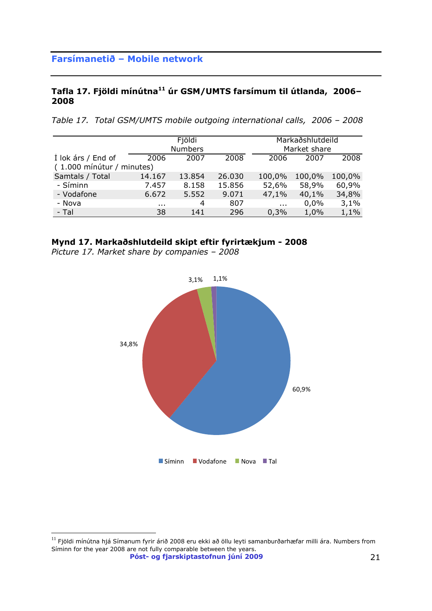#### **Tafla 17. Fjöldi mínútna<sup>11</sup> úr GSM/UMTS farsímum til útlanda, 2006– 2008**

*Table 17. Total GSM/UMTS mobile outgoing international calls, 2006 – 2008*

|                                                 |          | Fjöldi<br><b>Numbers</b> |        |          | Markaðshlutdeild<br>Market share |        |
|-------------------------------------------------|----------|--------------------------|--------|----------|----------------------------------|--------|
| I lok árs / End of<br>(1.000 mínútur / minutes) | 2006     | 2007                     | 2008   | 2006     | 2007                             | 2008   |
| Samtals / Total                                 | 14.167   | 13.854                   | 26.030 | 100,0%   | 100,0%                           | 100,0% |
| - Síminn                                        | 7.457    | 8.158                    | 15.856 | 52,6%    | 58,9%                            | 60,9%  |
| - Vodafone                                      | 6.672    | 5.552                    | 9.071  | 47,1%    | 40,1%                            | 34,8%  |
| - Nova                                          | $\cdots$ | 4                        | 807    | $\cdots$ | 0.0%                             | 3,1%   |
| - Tal                                           | 38       | 141                      | 296    | 0,3%     | 1,0%                             | 1,1%   |

#### **Mynd 17. Markaðshlutdeild skipt eftir fyrirtækjum - 2008**

*Picture 17. Market share by companies – 2008*



**Póst- og fjarskiptastofnun júní 2009** 21  $11$  Fjöldi mínútna hjá Símanum fyrir árið 2008 eru ekki að öllu leyti samanburðarhæfar milli ára. Numbers from Síminn for the year 2008 are not fully comparable between the years.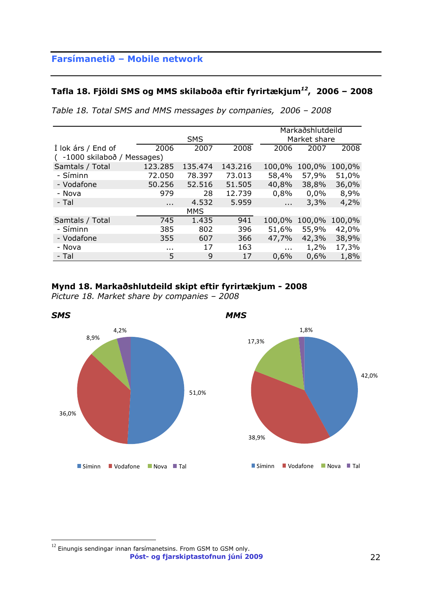### **Tafla 18. Fjöldi SMS og MMS skilaboða eftir fyrirtækjum***<sup>12</sup>***, 2006 – 2008**

*Table 18. Total SMS and MMS messages by companies, 2006 – 2008*

|                              |            |         |         |               | Markaðshlutdeild |        |
|------------------------------|------------|---------|---------|---------------|------------------|--------|
|                              | <b>SMS</b> |         |         |               | Market share     |        |
| Í lok árs / End of           | 2006       | 2007    | 2008    | 2006          | 2007             | 2008   |
| ( -1000 skilaboð / Messages) |            |         |         |               |                  |        |
| Samtals / Total              | 123.285    | 135.474 | 143.216 | 100,0%        | 100,0%           | 100,0% |
| - Síminn                     | 72.050     | 78.397  | 73.013  | 58,4%         | 57,9%            | 51,0%  |
| - Vodafone                   | 50.256     | 52.516  | 51.505  | 40,8%         | 38,8%            | 36,0%  |
| - Nova                       | 979        | 28      | 12.739  | 0,8%          | 0,0%             | 8,9%   |
| - Tal                        | $\cdots$   | 4.532   | 5.959   | $\sim$ $\sim$ | 3,3%             | 4,2%   |
|                              |            | MMS     |         |               |                  |        |
| Samtals / Total              | 745        | 1.435   | 941     | 100,0%        | 100,0%           | 100,0% |
| - Síminn                     | 385        | 802     | 396     | 51,6%         | 55,9%            | 42,0%  |
| - Vodafone                   | 355        | 607     | 366     | 47,7%         | 42,3%            | 38,9%  |
| - Nova                       | $\cdots$   | 17      | 163     | $\sim$ $\sim$ | 1,2%             | 17,3%  |
| - Tal                        | 5          | 9       | 17      | 0,6%          | 0,6%             | 1,8%   |

### **Mynd 18. Markaðshlutdeild skipt eftir fyrirtækjum - 2008**

*Picture 18. Market share by companies – 2008*



**Póst- og fjarskiptastofnun júní 2009** 22  $^{12}$  Einungis sendingar innan farsímanetsins. From GSM to GSM only.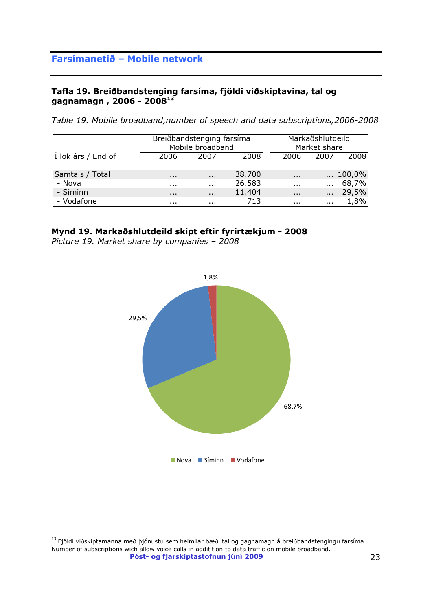### **Tafla 19. Breiðbandstenging farsíma, fjöldi viðskiptavina, tal og gagnamagn , 2006 - 2008<sup>13</sup>**

*Table 19. Mobile broadband,number of speech and data subscriptions,2006-2008*

|                    | Breiðbandstenging farsíma<br>Mobile broadband |          |        |          | Markaðshlutdeild<br>Market share |                  |
|--------------------|-----------------------------------------------|----------|--------|----------|----------------------------------|------------------|
| Í lok árs / End of | 2006                                          | 2007     | 2008   | 2006     | 2007                             | 2008             |
| Samtals / Total    | $\cdots$                                      | $\cdots$ | 38.700 | $\cdots$ |                                  | $\ldots 100,0\%$ |
| - Nova             | $\cdots$                                      | $\cdots$ | 26.583 | $\cdots$ | $\cdots$                         | 68,7%            |
| - Síminn           | $\cdots$                                      | $\cdots$ | 11.404 | $\cdots$ | $\cdots$                         | 29,5%            |
| - Vodafone         |                                               | .        | 713    | $\cdots$ | $\cdots$                         | 1,8%             |

#### **Mynd 19. Markaðshlutdeild skipt eftir fyrirtækjum - 2008**

*Picture 19. Market share by companies – 2008* 



**Póst- og fjarskiptastofnun júní 2009** 23  $^{13}$  Fjöldi viðskiptamanna með þjónustu sem heimilar bæði tal og gagnamagn á breiðbandstengingu farsíma. Number of subscriptions wich allow voice calls in additition to data traffic on mobile broadband.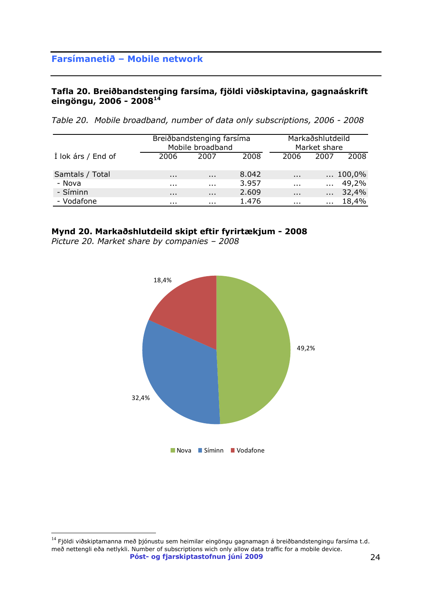### **Tafla 20. Breiðbandstenging farsíma, fjöldi viðskiptavina, gagnaáskrift eingöngu, 2006 - 2008<sup>14</sup>**

| Table 20. Mobile broadband, number of data only subscriptions, 2006 - 2008 |  |  |  |
|----------------------------------------------------------------------------|--|--|--|
|----------------------------------------------------------------------------|--|--|--|

|                    | Breiðbandstenging farsíma<br>Mobile broadband |          |       |          | Markaðshlutdeild<br>Market share |                  |
|--------------------|-----------------------------------------------|----------|-------|----------|----------------------------------|------------------|
| Í lok árs / End of | 2006                                          | 2007     | 2008  | 2006     | 2007                             | 2008             |
| Samtals / Total    | $\cdots$                                      | $\cdots$ | 8.042 | $\cdots$ |                                  | $\ldots 100,0\%$ |
| - Nova             |                                               | .        | 3.957 | $\cdots$ | $\mathbf{r}$                     | 49,2%            |
| - Síminn           | $\cdots$                                      | $\cdots$ | 2.609 | $\cdots$ | $\cdots$                         | 32,4%            |
| - Vodafone         |                                               | .        | 1.476 |          | $\cdots$                         | 18,4%            |

#### **Mynd 20. Markaðshlutdeild skipt eftir fyrirtækjum - 2008**

*Picture 20. Market share by companies – 2008* 



**Póst- og fjarskiptastofnun júní 2009** 24  $^{14}$  Fjöldi viðskiptamanna með þjónustu sem heimilar eingöngu gagnamagn á breiðbandstengingu farsíma t.d. með nettengli eða netlykli. Number of subscriptions wich only allow data traffic for a mobile device.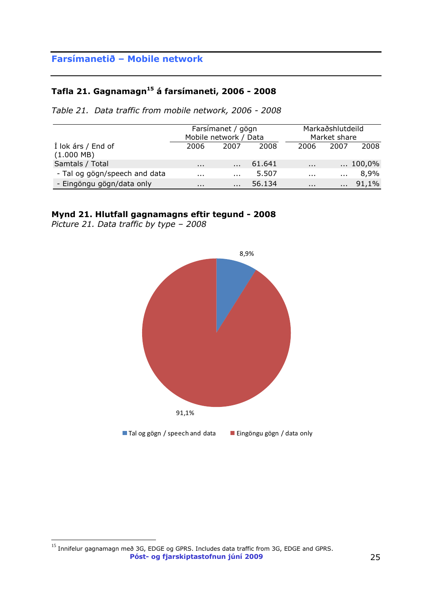# **Tafla 21. Gagnamagn<sup>15</sup> á farsímaneti, 2006 - 2008**

*Table 21. Data traffic from mobile network, 2006 - 2008*

|                                            |                   | Farsímanet / gögn<br>Mobile network / Data |        | Markaðshlutdeild<br>Market share |          |                  |
|--------------------------------------------|-------------------|--------------------------------------------|--------|----------------------------------|----------|------------------|
| Í lok árs / End of<br>$(1.000 \text{ MB})$ | 2006              | 2007                                       | 2008   | 2006                             | 2007     | 2008             |
| Samtals / Total                            | $\cdots$          | $\cdots$                                   | 61.641 | $\cdots$                         |          | $\ldots 100,0\%$ |
| - Tal og gögn/speech and data              | $\sim$ 0.00 $\pm$ | $\cdots$                                   | 5.507  | $\cdots$                         | $\cdots$ | 8,9%             |
| - Eingöngu gögn/data only                  | $\cdots$          | $\cdots$                                   | 56.134 | $\cdots$                         | $\cdots$ | 91,1%            |

#### **Mynd 21. Hlutfall gagnamagns eftir tegund - 2008**

*Picture 21. Data traffic by type – 2008* 



**Póst- og fjarskiptastofnun júní 2009** 25 <sup>15</sup> Innifelur gagnamagn með 3G, EDGE og GPRS. Includes data traffic from 3G, EDGE and GPRS.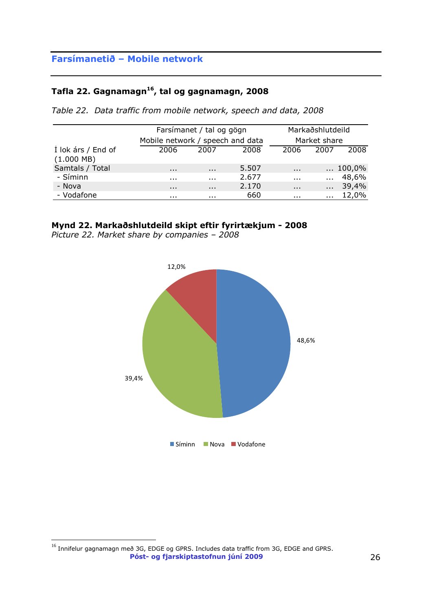## **Tafla 22. Gagnamagn<sup>16</sup>, tal og gagnamagn, 2008**

*Table 22. Data traffic from mobile network, speech and data, 2008*

|                                            | Farsímanet / tal og gögn         |          |       |                      | Markaðshlutdeild |                  |
|--------------------------------------------|----------------------------------|----------|-------|----------------------|------------------|------------------|
|                                            | Mobile network / speech and data |          |       |                      | Market share     |                  |
| I lok árs / End of<br>$(1.000 \text{ MB})$ | 2006                             | 2007     | 2008  | 2006                 | 2007             | 2008             |
| Samtals / Total                            | $\cdots$                         | $\cdots$ | 5.507 | $\cdots$             |                  | $\ldots 100,0\%$ |
| - Síminn                                   |                                  | $\cdots$ | 2.677 | $\cdots$             | $\mathbf{r}$     | 48,6%            |
| - Nova                                     | $\cdots$                         | $\cdots$ | 2.170 | $\cdots$             | $\cdots$         | 39,4%            |
| - Vodafone                                 |                                  | $\cdots$ | 660   | $\sim$ $\sim$ $\sim$ | $\cdots$         | 12,0%            |

#### **Mynd 22. Markaðshlutdeild skipt eftir fyrirtækjum - 2008**

*Picture 22. Market share by companies – 2008* 



**Póst- og fjarskiptastofnun júní 2009** 26  $^{16}$  Innifelur gagnamagn með 3G, EDGE og GPRS. Includes data traffic from 3G, EDGE and GPRS.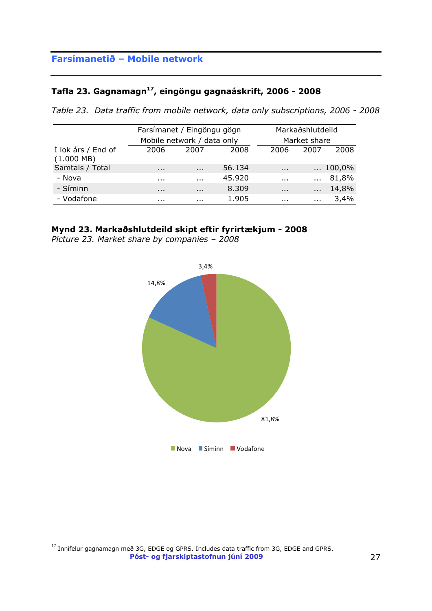## **Tafla 23. Gagnamagn<sup>17</sup>, eingöngu gagnaáskrift, 2006 - 2008**

*Table 23. Data traffic from mobile network, data only subscriptions, 2006 - 2008*

|                                            |          | Farsímanet / Eingöngu gögn |        |          | Markaðshlutdeild |                  |  |
|--------------------------------------------|----------|----------------------------|--------|----------|------------------|------------------|--|
|                                            |          | Mobile network / data only |        |          | Market share     |                  |  |
| Í lok árs / End of<br>$(1.000 \text{ MB})$ | 2006     | 2007                       | 2008   | 2006     | 2007             | 2008             |  |
| Samtals / Total                            | $\cdots$ | $\cdots$                   | 56.134 | $\cdots$ |                  | $\ldots 100,0\%$ |  |
| - Nova                                     | $\cdots$ | $\cdots$                   | 45.920 | $\cdots$ | $\cdots$         | 81,8%            |  |
| - Síminn                                   | $\cdots$ | $\cdots$                   | 8.309  | $\cdots$ | $\cdots$         | 14,8%            |  |
| - Vodafone                                 |          |                            | 1.905  |          | $\cdots$         | 3,4%             |  |

## **Mynd 23. Markaðshlutdeild skipt eftir fyrirtækjum - 2008**

*Picture 23. Market share by companies – 2008* 



**Póst- og fjarskiptastofnun júní 2009** 27  $^{17}$  Innifelur gagnamagn með 3G, EDGE og GPRS. Includes data traffic from 3G, EDGE and GPRS.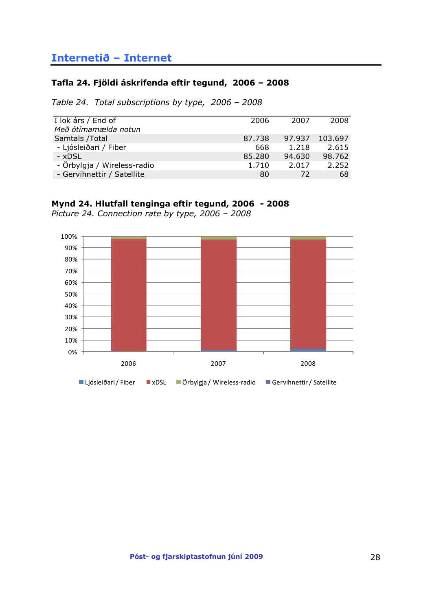## <span id="page-27-0"></span>**Internetið – Internet**

#### **Tafla 24. Fjöldi áskrifenda eftir tegund, 2006 – 2008**

*Table 24. Total subscriptions by type, 2006 – 2008*

| I lok árs / End of          | 2006   | 2007   | 2008    |
|-----------------------------|--------|--------|---------|
| Með ótímamælda notun        |        |        |         |
| Samtals /Total              | 87.738 | 97.937 | 103.697 |
| - Ljósleiðari / Fiber       | 668    | 1.218  | 2.615   |
| - xDSL                      | 85.280 | 94.630 | 98.762  |
| - Örbylgja / Wireless-radio | 1.710  | 2.017  | 2.252   |
| - Gervihnettir / Satellite  | 80     | 72     | 68      |

### **Mynd 24. Hlutfall tenginga eftir tegund, 2006 - 2008**

*Picture 24. Connection rate by type, 2006 – 2008*

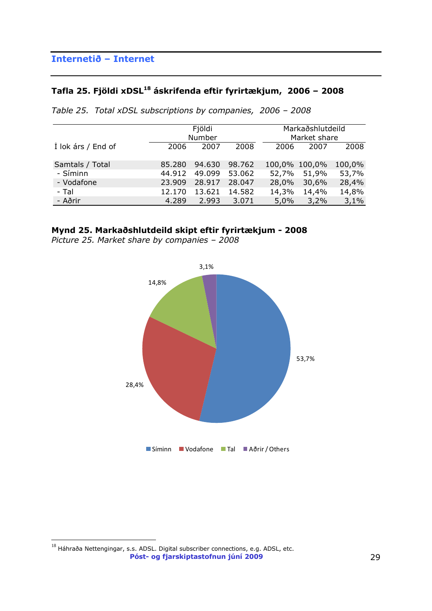# **Tafla 25. Fjöldi xDSL<sup>18</sup> áskrifenda eftir fyrirtækjum, 2006 – 2008**

|                             | Fjöldi<br>Number |                  |                  |       | Markaðshlutdeild<br>Market share |                 |
|-----------------------------|------------------|------------------|------------------|-------|----------------------------------|-----------------|
| Í lok árs / End of          | 2006             | 2007             | 2008             | 2006  | 2007                             | 2008            |
| Samtals / Total<br>- Síminn | 85.280<br>44.912 | 94.630<br>49.099 | 98.762<br>53.062 | 52,7% | 100,0% 100,0%<br>51,9%           | 100,0%<br>53,7% |
| - Vodafone                  | 23.909           | 28.917           | 28.047           | 28,0% | 30,6%                            | 28,4%           |
| - Tal                       | 12.170           | 13.621           | 14.582           | 14,3% | 14,4%                            | 14,8%           |
| - Aðrir                     | 4.289            | 2.993            | 3.071            | 5,0%  | 3,2%                             | 3,1%            |

*Table 25. Total xDSL subscriptions by companies, 2006 – 2008*

**Mynd 25. Markaðshlutdeild skipt eftir fyrirtækjum - 2008**

*Picture 25. Market share by companies – 2008*



**Póst- og fjarskiptastofnun júní 2009** 29  $^{18}$  Háhraða Nettengingar, s.s. ADSL. Digital subscriber connections, e.g. ADSL, etc.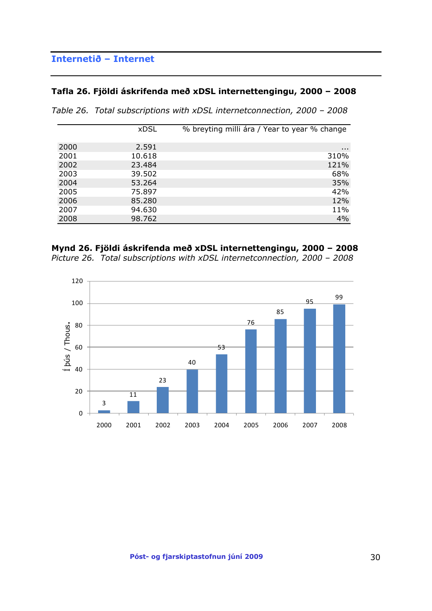## **Internetið – Internet**

#### **Tafla 26. Fjöldi áskrifenda með xDSL internettengingu, 2000 – 2008**

*Table 26. Total subscriptions with xDSL internetconnection, 2000 – 2008*

|      | <b>xDSL</b> | % breyting milli ára / Year to year % change |
|------|-------------|----------------------------------------------|
|      |             |                                              |
| 2000 | 2.591       | $\cdots$                                     |
| 2001 | 10.618      | 310%                                         |
| 2002 | 23.484      | 121%                                         |
| 2003 | 39.502      | 68%                                          |
| 2004 | 53.264      | 35%                                          |
| 2005 | 75.897      | 42%                                          |
| 2006 | 85.280      | 12%                                          |
| 2007 | 94.630      | 11%                                          |
| 2008 | 98.762      | 4%                                           |

# **Mynd 26. Fjöldi áskrifenda með xDSL internettengingu, 2000 – 2008**

*Picture 26. Total subscriptions with xDSL internetconnection, 2000 – 2008*

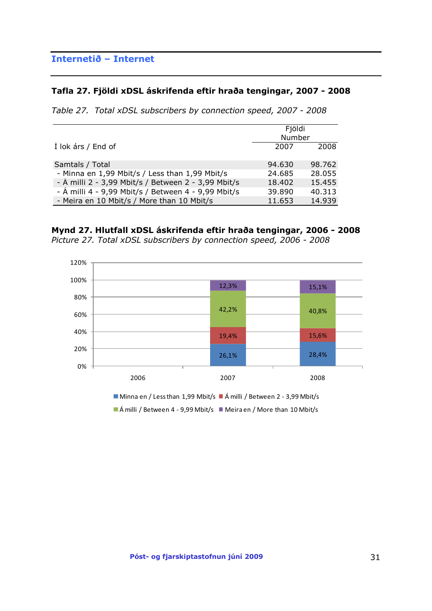## **Internetið – Internet**

#### **Tafla 27. Fjöldi xDSL áskrifenda eftir hraða tengingar, 2007 - 2008**

*Table 27. Total xDSL subscribers by connection speed, 2007 - 2008*

|                                                     | Fjöldi<br>Number |        |
|-----------------------------------------------------|------------------|--------|
| I lok árs / End of                                  | 2007             | 2008   |
| Samtals / Total                                     | 94.630           | 98.762 |
| - Minna en 1,99 Mbit/s / Less than 1,99 Mbit/s      | 24.685           | 28,055 |
| - A milli 2 - 3,99 Mbit/s / Between 2 - 3,99 Mbit/s | 18,402           | 15.455 |
| - Á milli 4 - 9,99 Mbit/s / Between 4 - 9,99 Mbit/s | 39,890           | 40.313 |
| - Meira en 10 Mbit/s / More than 10 Mbit/s          | 11.653           | 14.939 |

**Mynd 27. Hlutfall xDSL áskrifenda eftir hraða tengingar, 2006 - 2008** *Picture 27. Total xDSL subscribers by connection speed, 2006 - 2008*



 $\blacksquare$  Á milli / Between 4 - 9,99 Mbit/s  $\blacksquare$  Meira en / More than 10 Mbit/s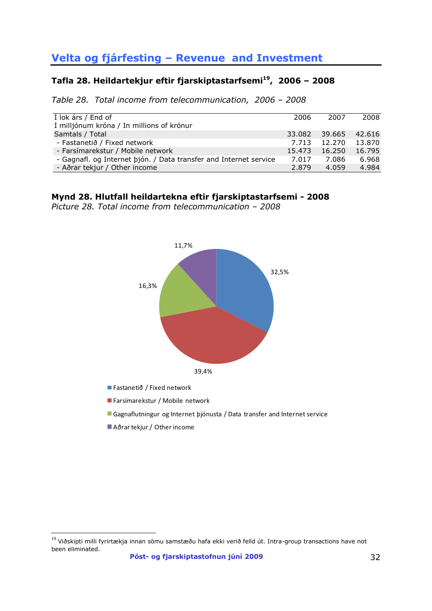# **Velta og fjárfesting – Revenue and Investment**

# **Tafla 28. Heildartekjur eftir fjarskiptastarfsemi<sup>19</sup>, 2006 – 2008**

*Table 28. Total income from telecommunication, 2006 – 2008*

| $\overline{1}$ lok árs / End of                                   | 2006   | 2007   | 2008   |
|-------------------------------------------------------------------|--------|--------|--------|
| Í milljónum króna / In millions of krónur                         |        |        |        |
| Samtals / Total                                                   | 33.082 | 39.665 | 42.616 |
| - Fastanetið / Fixed network                                      | 7.713  | 12.270 | 13.870 |
| - Farsímarekstur / Mobile network                                 | 15.473 | 16.250 | 16.795 |
| - Gagnafl. og Internet þjón. / Data transfer and Internet service | 7.017  | 7.086  | 6.968  |
| - Aðrar tekjur / Other income                                     | 2.879  | 4.059  | 4.984  |

#### **Mynd 28. Hlutfall heildartekna eftir fjarskiptastarfsemi - 2008**

*Picture 28. Total income from telecommunication – 2008*



Fastanetið / Fixed network

Farsímarekstur / Mobile network

Gagnaflutningur og Internet þjónusta / Data transfer and Internet service

Aðrar tekjur / Other income

 $19$  Viðskipti milli fyrirtækja innan sömu samstæðu hafa ekki verið felld út. Intra-group transactions have not been eliminated.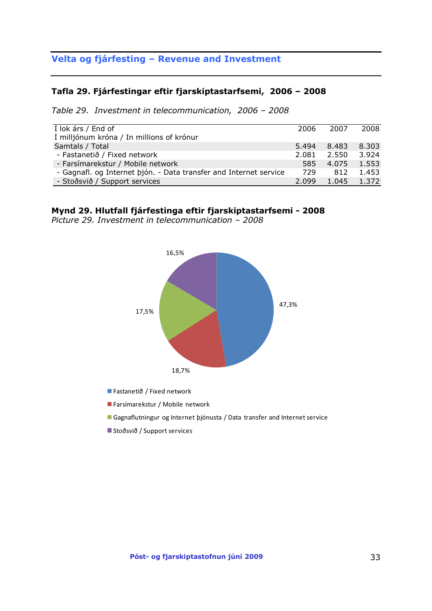## **Velta og fjárfesting – Revenue and Investment**

#### **Tafla 29. Fjárfestingar eftir fjarskiptastarfsemi, 2006 – 2008**

*Table 29. Investment in telecommunication, 2006 – 2008*

| $\overline{1}$ lok árs / End of                                   | 2006  | 2007  | 2008  |
|-------------------------------------------------------------------|-------|-------|-------|
| Í milljónum króna / In millions of krónur                         |       |       |       |
| Samtals / Total                                                   | 5.494 | 8.483 | 8.303 |
| - Fastanetið / Fixed network                                      | 2.081 | 2.550 | 3.924 |
| - Farsímarekstur / Mobile network                                 | 585   | 4.075 | 1.553 |
| - Gagnafl. og Internet þjón. - Data transfer and Internet service | 729   | 812   | 1.453 |
| - Stoðsvið / Support services                                     | 2.099 | 1.045 | 1.372 |

#### **Mynd 29. Hlutfall fjárfestinga eftir fjarskiptastarfsemi - 2008**

*Picture 29. Investment in telecommunication – 2008*



Fastanetið / Fixed network

Farsímarekstur / Mobile network

Gagnaflutningur og Internet þjónusta / Data transfer and Internet service

Stoðsvið / Support services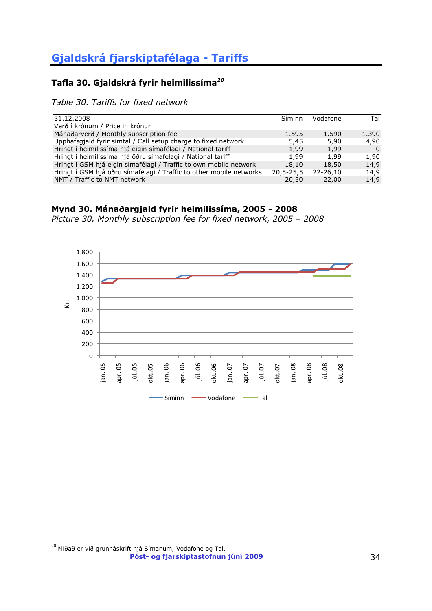## <span id="page-33-0"></span>**Tafla 30. Gjaldskrá fyrir heimilissíma***<sup>20</sup>*

*Table 30. Tariffs for fixed network*

| 31.12.2008                                                          | Síminn          | Vodafone | Tal      |
|---------------------------------------------------------------------|-----------------|----------|----------|
| Verð í krónum / Price in krónur                                     |                 |          |          |
| Mánaðarverð / Monthly subscription fee                              | 1.595           | 1.590    | 1.390    |
| Upphafsgjald fyrir símtal / Call setup charge to fixed network      | 5,45            | 5,90     | 4,90     |
| Hringt í heimilissíma hjá eigin símafélagi / National tariff        | 1,99            | 1,99     | $\Omega$ |
| Hringt í heimilissíma hjá öðru símafélagi / National tariff         | 1,99            | 1,99     | 1,90     |
| Hringt í GSM hjá eigin símafélagi / Traffic to own mobile network   | 18,10           | 18,50    | 14,9     |
| Hringt í GSM hjá öðru símafélagi / Traffic to other mobile networks | $20, 5 - 25, 5$ | 22-26.10 | 14,9     |
| NMT / Traffic to NMT network                                        | 20,50           | 22,00    | 14,9     |

### **Mynd 30. Mánaðargjald fyrir heimilissíma, 2005 - 2008**

*Picture 30. Monthly subscription fee for fixed network, 2005 – 2008*



**Póst- og fjarskiptastofnun júní 2009** 34  $\overline{a}$  $^{\rm 20}$  Miðað er við grunnáskrift hjá Símanum, Vodafone og Tal.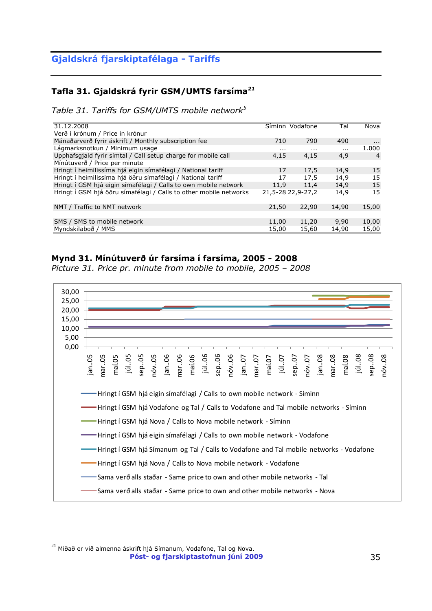## **Tafla 31. Gjaldskrá fyrir GSM/UMTS farsíma***<sup>21</sup>*

*Table 31. Tariffs for GSM/UMTS mobile network<sup>5</sup>*

| 31.12.2008                                                        |       | Síminn Vodafone   | Tal      | Nova     |
|-------------------------------------------------------------------|-------|-------------------|----------|----------|
| Verð í krónum / Price in krónur                                   |       |                   |          |          |
| Mánaðarverð fyrir áskrift / Monthly subscription fee              | 710   | 790               | 490      | $\cdots$ |
| Lágmarksnotkun / Minimum usage                                    | .     | $\cdots$          | $\cdots$ | 1.000    |
| Upphafsgjald fyrir símtal / Call setup charge for mobile call     | 4,15  | 4,15              | 4,9      | 4        |
| Mínútuverð / Price per minute                                     |       |                   |          |          |
| Hringt í heimilissíma hjá eigin símafélagi / National tariff      | 17    | 17.5              | 14,9     | 15       |
| Hringt í heimilissíma hjá öðru símafélagi / National tariff       | 17    | 17,5              | 14,9     | 15       |
| Hringt í GSM hjá eigin símafélagi / Calls to own mobile network   | 11.9  | 11.4              | 14.9     | 15       |
| Hringt í GSM hjá öðru símafélagi / Calls to other mobile networks |       | 21,5-28 22,9-27,2 | 14,9     | 15       |
|                                                                   |       |                   |          |          |
| NMT / Traffic to NMT network                                      | 21,50 | 22,90             | 14,90    | 15,00    |
|                                                                   |       |                   |          |          |
| SMS / SMS to mobile network                                       | 11,00 | 11,20             | 9,90     | 10,00    |
| Myndskilaboð / MMS                                                | 15,00 | 15,60             | 14,90    | 15,00    |

#### **Mynd 31. Mínútuverð úr farsíma í farsíma, 2005 - 2008**

*Picture 31. Price pr. minute from mobile to mobile, 2005 – 2008*



**Póst- og fjarskiptastofnun júní 2009** 35  $^{21}$  Miðað er við almenna áskrift hjá Símanum, Vodafone, Tal og Nova.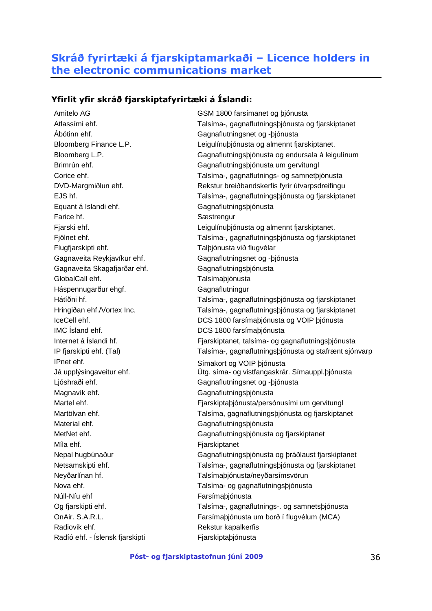## <span id="page-35-0"></span>**Skráð fyrirtæki á fjarskiptamarkaði – Licence holders in the electronic communications market**

### **Yfirlit yfir skráð fjarskiptafyrirtæki á Íslandi:**

Ábótinn ehf. Gagnaflutningsnet og -þjónusta Equant á Islandi ehf. Gagnaflutningsþjónusta Farice hf. Sæstrengur Flugfjarskipti ehf. Talþjónusta við flugvélar Gagnaveita Reykjavíkur ehf. Gagnaflutningsnet og -þjónusta Gagnaveita Skagafjarðar ehf. Gagnaflutningsþjónusta GlobalCall ehf. Talsímaþjónusta Háspennugarður ehgf. Gagnaflutningur IMC Ísland ehf. DCS 1800 farsímaþjónusta IPnet ehf. Símakort og VOIP þjónusta Ljóshraði ehf. Gagnaflutningsnet og -þjónusta Magnavík ehf. **Gagnaflutnings** biografingspjónusta Material ehf. Gagnaflutningsþjónusta Míla ehf. **Fiarskiptanet** Núll-Níu ehf Farsímabjónusta Radiovik ehf. The state of the Rekstur kapalkerfis Radíó ehf. - Íslensk fjarskipti Fjarskiptaþjónusta

Amitelo AG GSM 1800 farsímanet og þjónusta Atlassími ehf. Talsíma-, gagnaflutningsþjónusta og fjarskiptanet Bloomberg Finance L.P. Leigulínuþjónusta og almennt fjarskiptanet. Bloomberg L.P. Gagnaflutningsþjónusta og endursala á leigulínum Brimrún ehf. Gagnaflutningsþjónusta um gervitungl Corice ehf. Talsíma-, gagnaflutnings- og samnetþjónusta DVD-Margmiðlun ehf. Rekstur breiðbandskerfis fyrir útvarpsdreifingu EJS hf. Talsíma-, gagnaflutningsþjónusta og fjarskiptanet Fjarski ehf. Leigulínuþjónusta og almennt fjarskiptanet. Fjölnet ehf. Talsíma-, gagnaflutningsþjónusta og fjarskiptanet Hátíðni hf. Talsíma-, gagnaflutningsþjónusta og fjarskiptanet Hringiðan ehf./Vortex Inc. Talsíma-, gagnaflutningsþjónusta og fjarskiptanet IceCell ehf. DCS 1800 farsímaþjónusta og VOIP þjónusta Internet á Íslandi hf. **Fjarskiptanet, talsíma- og gagnaflutnings**þjónusta IP fjarskipti ehf. (Tal) Talsíma-, gagnaflutningsþjónusta og stafrænt sjónvarp Já upplýsingaveitur ehf. Útg. síma- og vistfangaskrár. Símauppl.þjónusta Martel ehf. **Franskiptabljónusta**/persónusími um gervitungl Martölvan ehf. Talsíma, gagnaflutningsþjónusta og fjarskiptanet MetNet ehf. Gagnaflutningsþjónusta og fjarskiptanet Nepal hugbúnaður Gagnaflutningsþjónusta og þráðlaust fjarskiptanet Netsamskipti ehf. Talsíma-, gagnaflutningsþjónusta og fjarskiptanet Neyðarlínan hf. Talsímaþjónusta/neyðarsímsvörun Nova ehf. Talsíma- og gagnaflutningsþjónusta Og fjarskipti ehf. Talsíma-, gagnaflutnings-. og samnetsþjónusta OnAir. S.A.R.L. Farsímaþjónusta um borð í flugvélum (MCA)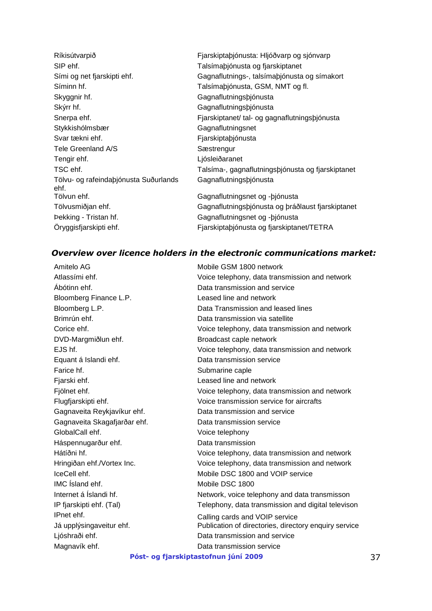| Ríkisútvarpið                                 | Fjarskiptaþjónusta: Hljóðvarp og sjónvarp         |
|-----------------------------------------------|---------------------------------------------------|
| SIP ehf.                                      | Talsímaþjónusta og fjarskiptanet                  |
| Sími og net fjarskipti ehf.                   | Gagnaflutnings-, talsímabjónusta og símakort      |
| Síminn hf.                                    | Talsímaþjónusta, GSM, NMT og fl.                  |
| Skyggnir hf.                                  | Gagnaflutningsbjónusta                            |
| Skýrr hf.                                     | Gagnaflutningsbjónusta                            |
| Snerpa ehf.                                   | Fjarskiptanet/tal- og gagnaflutningsþjónusta      |
| Stykkishólmsbær                               | Gagnaflutningsnet                                 |
| Svar tækni ehf.                               | Fjarskiptaþjónusta                                |
| Tele Greenland A/S                            | Sæstrengur                                        |
| Tengir ehf.                                   | Ljósleiðaranet                                    |
| TSC ehf.                                      | Talsíma-, gagnaflutningsþjónusta og fjarskiptanet |
| Tölvu- og rafeindaþjónusta Suðurlands<br>ehf. | Gagnaflutningsbjónusta                            |
| Tölvun ehf.                                   | Gagnaflutningsnet og - bjónusta                   |
| Tölvusmiðjan ehf.                             | Gagnaflutningsþjónusta og þráðlaust fjarskiptanet |
| <b>Þekking - Tristan hf.</b>                  | Gagnaflutningsnet og - bjónusta                   |
| Öryggisfjarskipti ehf.                        | Fjarskiptabjónusta og fjarskiptanet/TETRA         |

## *Overview over licence holders in the electronic communications market:*

| Amitelo AG                   | Mobile GSM 1800 network                               |    |
|------------------------------|-------------------------------------------------------|----|
| Atlassími ehf.               | Voice telephony, data transmission and network        |    |
| Ábótinn ehf.                 | Data transmission and service                         |    |
| Bloomberg Finance L.P.       | Leased line and network                               |    |
| Bloomberg L.P.               | Data Transmission and leased lines                    |    |
| Brimrún ehf.                 | Data transmission via satellite                       |    |
| Corice ehf.                  | Voice telephony, data transmission and network        |    |
| DVD-Margmiðlun ehf.          | Broadcast caple network                               |    |
| EJS hf.                      | Voice telephony, data transmission and network        |    |
| Equant á Islandi ehf.        | Data transmission service                             |    |
| Farice hf.                   | Submarine caple                                       |    |
| Fjarski ehf.                 | Leased line and network                               |    |
| Fjölnet ehf.                 | Voice telephony, data transmission and network        |    |
| Flugfjarskipti ehf.          | Voice transmission service for aircrafts              |    |
| Gagnaveita Reykjavíkur ehf.  | Data transmission and service                         |    |
| Gagnaveita Skagafjarðar ehf. | Data transmission service                             |    |
| GlobalCall ehf.              | Voice telephony                                       |    |
| Háspennugarður ehf.          | Data transmission                                     |    |
| Hátíðni hf.                  | Voice telephony, data transmission and network        |    |
| Hringiðan ehf./Vortex Inc.   | Voice telephony, data transmission and network        |    |
| IceCell ehf.                 | Mobile DSC 1800 and VOIP service                      |    |
| IMC Island ehf.              | Mobile DSC 1800                                       |    |
| Internet á Íslandi hf.       | Network, voice telephony and data transmisson         |    |
| IP fjarskipti ehf. (Tal)     | Telephony, data transmission and digital televison    |    |
| IPnet ehf.                   | Calling cards and VOIP service                        |    |
| Já upplýsingaveitur ehf.     | Publication of directories, directory enquiry service |    |
| Ljóshraði ehf.               | Data transmission and service                         |    |
| Magnavík ehf.                | Data transmission service                             |    |
|                              | Póst- og fjarskiptastofnun júní 2009                  | 37 |